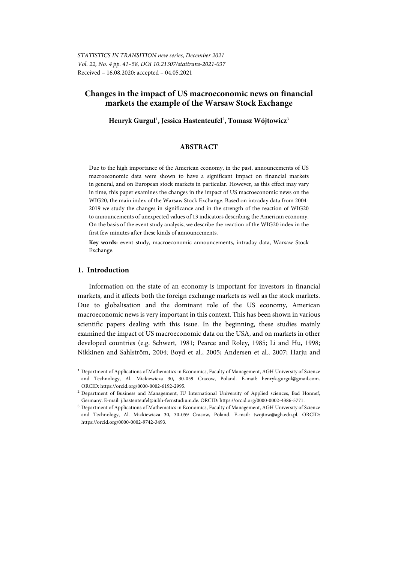# **Changes in the impact of US macroeconomic news on financial markets the example of the Warsaw Stock Exchange**

**Henryk Gurgul**<sup>1</sup> **, Jessica Hastenteufel**<sup>2</sup> **, Tomasz Wójtowicz**<sup>3</sup>

## **ABSTRACT**

Due to the high importance of the American economy, in the past, announcements of US macroeconomic data were shown to have a significant impact on financial markets in general, and on European stock markets in particular. However, as this effect may vary in time, this paper examines the changes in the impact of US macroeconomic news on the WIG20, the main index of the Warsaw Stock Exchange. Based on intraday data from 2004- 2019 we study the changes in significance and in the strength of the reaction of WIG20 to announcements of unexpected values of 13 indicators describing the American economy. On the basis of the event study analysis, we describe the reaction of the WIG20 index in the first few minutes after these kinds of announcements.

**Key words:** event study, macroeconomic announcements, intraday data, Warsaw Stock Exchange.

# **1. Introduction**

l

Information on the state of an economy is important for investors in financial markets, and it affects both the foreign exchange markets as well as the stock markets. Due to globalisation and the dominant role of the US economy, American macroeconomic news is very important in this context. This has been shown in various scientific papers dealing with this issue. In the beginning, these studies mainly examined the impact of US macroeconomic data on the USA, and on markets in other developed countries (e.g. Schwert, 1981; Pearce and Roley, 1985; Li and Hu, 1998; Nikkinen and Sahlström, 2004; Boyd et al., 2005; Andersen et al., 2007; Harju and

<sup>1</sup> Department of Applications of Mathematics in Economics, Faculty of Management, AGH University of Science and Technology, Al. Mickiewicza 30, 30-059 Cracow, Poland. E-mail: henryk.gurgul@gmail.com. ORCID: https://orcid.org/0000-0002-6192-2995.

<sup>&</sup>lt;sup>2</sup> Department of Business and Management, IU International University of Applied sciences, Bad Honnef, Germany. E-mail: j.hastenteufel@iubh-fernstudium.de. ORCID: https://orcid.org/0000-0002-4386-5771.

<sup>&</sup>lt;sup>3</sup> Department of Applications of Mathematics in Economics, Faculty of Management, AGH University of Science and Technology, Al. Mickiewicza 30, 30-059 Cracow, Poland. E-mail: twojtow@agh.edu.pl. ORCID: https://orcid.org/0000-0002-9742-3493.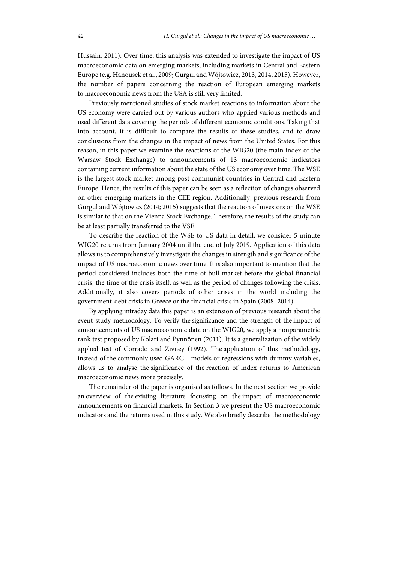Hussain, 2011). Over time, this analysis was extended to investigate the impact of US macroeconomic data on emerging markets, including markets in Central and Eastern Europe (e.g. Hanousek et al., 2009; Gurgul and Wójtowicz, 2013, 2014, 2015). However, the number of papers concerning the reaction of European emerging markets to macroeconomic news from the USA is still very limited.

Previously mentioned studies of stock market reactions to information about the US economy were carried out by various authors who applied various methods and used different data covering the periods of different economic conditions. Taking that into account, it is difficult to compare the results of these studies, and to draw conclusions from the changes in the impact of news from the United States. For this reason, in this paper we examine the reactions of the WIG20 (the main index of the Warsaw Stock Exchange) to announcements of 13 macroeconomic indicators containing current information about the state of the US economy over time. The WSE is the largest stock market among post communist countries in Central and Eastern Europe. Hence, the results of this paper can be seen as a reflection of changes observed on other emerging markets in the CEE region. Additionally, previous research from Gurgul and Wójtowicz (2014; 2015) suggests that the reaction of investors on the WSE is similar to that on the Vienna Stock Exchange. Therefore, the results of the study can be at least partially transferred to the VSE.

To describe the reaction of the WSE to US data in detail, we consider 5-minute WIG20 returns from January 2004 until the end of July 2019. Application of this data allows us to comprehensively investigate the changes in strength and significance of the impact of US macroeconomic news over time. It is also important to mention that the period considered includes both the time of bull market before the global financial crisis, the time of the crisis itself, as well as the period of changes following the crisis. Additionally, it also covers periods of other crises in the world including the government-debt crisis in Greece or the financial crisis in Spain (2008–2014).

By applying intraday data this paper is an extension of previous research about the event study methodology. To verify the significance and the strength of the impact of announcements of US macroeconomic data on the WIG20, we apply a nonparametric rank test proposed by Kolari and Pynnönen (2011). It is a generalization of the widely applied test of Corrado and Zivney (1992). The application of this methodology, instead of the commonly used GARCH models or regressions with dummy variables, allows us to analyse the significance of the reaction of index returns to American macroeconomic news more precisely.

The remainder of the paper is organised as follows. In the next section we provide an overview of the existing literature focussing on the impact of macroeconomic announcements on financial markets. In Section 3 we present the US macroeconomic indicators and the returns used in this study. We also briefly describe the methodology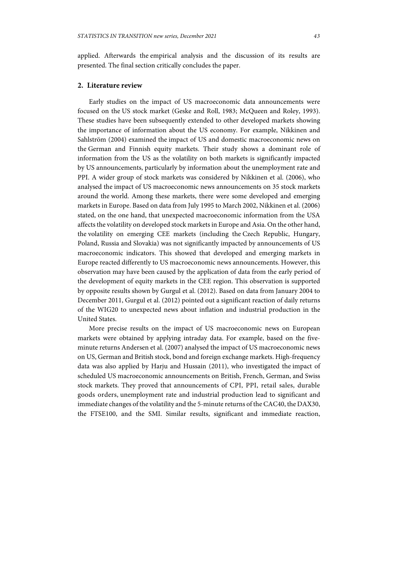applied. Afterwards the empirical analysis and the discussion of its results are presented. The final section critically concludes the paper.

### **2. Literature review**

Early studies on the impact of US macroeconomic data announcements were focused on the US stock market (Geske and Roll, 1983; McQueen and Roley, 1993). These studies have been subsequently extended to other developed markets showing the importance of information about the US economy. For example, Nikkinen and Sahlström (2004) examined the impact of US and domestic macroeconomic news on the German and Finnish equity markets. Their study shows a dominant role of information from the US as the volatility on both markets is significantly impacted by US announcements, particularly by information about the unemployment rate and PPI. A wider group of stock markets was considered by Nikkinen et al. (2006), who analysed the impact of US macroeconomic news announcements on 35 stock markets around the world. Among these markets, there were some developed and emerging markets in Europe. Based on data from July 1995 to March 2002, Nikkinen et al. (2006) stated, on the one hand, that unexpected macroeconomic information from the USA affects the volatility on developed stock markets in Europe and Asia. On the other hand, the volatility on emerging CEE markets (including the Czech Republic, Hungary, Poland, Russia and Slovakia) was not significantly impacted by announcements of US macroeconomic indicators. This showed that developed and emerging markets in Europe reacted differently to US macroeconomic news announcements. However, this observation may have been caused by the application of data from the early period of the development of equity markets in the CEE region. This observation is supported by opposite results shown by Gurgul et al. (2012). Based on data from January 2004 to December 2011, Gurgul et al. (2012) pointed out a significant reaction of daily returns of the WIG20 to unexpected news about inflation and industrial production in the United States.

More precise results on the impact of US macroeconomic news on European markets were obtained by applying intraday data. For example, based on the fiveminute returns Andersen et al. (2007) analysed the impact of US macroeconomic news on US, German and British stock, bond and foreign exchange markets. High-frequency data was also applied by Harju and Hussain (2011), who investigated the impact of scheduled US macroeconomic announcements on British, French, German, and Swiss stock markets. They proved that announcements of CPI, PPI, retail sales, durable goods orders, unemployment rate and industrial production lead to significant and immediate changes of the volatility and the 5-minute returns of the CAC40, the DAX30, the FTSE100, and the SMI. Similar results, significant and immediate reaction,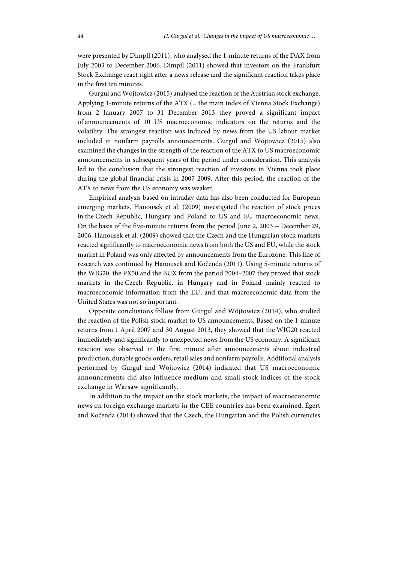were presented by Dimpfl (2011), who analysed the 1-minute returns of the DAX from July 2003 to December 2006. Dimpfl (2011) showed that investors on the Frankfurt Stock Exchange react right after a news release and the significant reaction takes place in the first ten minutes.

Gurgul and Wójtowicz (2015) analysed the reaction of the Austrian stock exchange. Applying 1-minute returns of the ATX (= the main index of Vienna Stock Exchange) from 2 January 2007 to 31 December 2013 they proved a significant impact of announcements of 10 US macroeconomic indicators on the returns and the volatility. The strongest reaction was induced by news from the US labour market included in nonfarm payrolls announcements. Gurgul and Wójtowicz (2015) also examined the changes in the strength of the reaction of the ATX to US macroeconomic announcements in subsequent years of the period under consideration. This analysis led to the conclusion that the strongest reaction of investors in Vienna took place during the global financial crisis in 2007-2009. After this period, the reaction of the ATX to news from the US economy was weaker.

Empirical analysis based on intraday data has also been conducted for European emerging markets. Hanousek et al. (2009) investigated the reaction of stock prices in the Czech Republic, Hungary and Poland to US and EU macroeconomic news. On the basis of the five-minute returns from the period June 2, 2003 - December 29, 2006, Hanousek et al. (2009) showed that the Czech and the Hungarian stock markets reacted significantly to macroeconomic news from both the US and EU, while the stock market in Poland was only affected by announcements from the Eurozone. This line of research was continued by Hanousek and Kočenda (2011). Using 5-minute returns of the WIG20, the PX50 and the BUX from the period 2004–2007 they proved that stock markets in the Czech Republic, in Hungary and in Poland mainly reacted to macroeconomic information from the EU, and that macroeconomic data from the United States was not so important.

Opposite conclusions follow from Gurgul and Wójtowicz (2014), who studied the reaction of the Polish stock market to US announcements. Based on the 1-minute returns from 1 April 2007 and 30 August 2013, they showed that the WIG20 reacted immediately and significantly to unexpected news from the US economy. A significant reaction was observed in the first minute after announcements about industrial production, durable goods orders, retail sales and nonfarm payrolls. Additional analysis performed by Gurgul and Wójtowicz (2014) indicated that US macroeconomic announcements did also influence medium and small stock indices of the stock exchange in Warsaw significantly.

In addition to the impact on the stock markets, the impact of macroeconomic news on foreign exchange markets in the CEE countries has been examined. Égert and Kočenda (2014) showed that the Czech, the Hungarian and the Polish currencies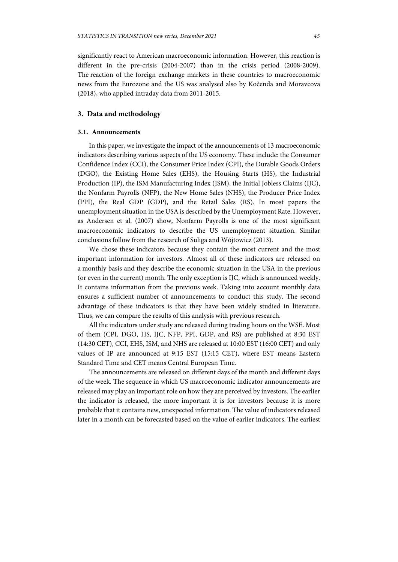significantly react to American macroeconomic information. However, this reaction is different in the pre-crisis (2004-2007) than in the crisis period (2008-2009). The reaction of the foreign exchange markets in these countries to macroeconomic news from the Eurozone and the US was analysed also by Kočenda and Moravcova (2018), who applied intraday data from 2011-2015.

# **3. Data and methodology**

#### **3.1. Announcements**

In this paper, we investigate the impact of the announcements of 13 macroeconomic indicators describing various aspects of the US economy. These include: the Consumer Confidence Index (CCI), the Consumer Price Index (CPI), the Durable Goods Orders (DGO), the Existing Home Sales (EHS), the Housing Starts (HS), the Industrial Production (IP), the ISM Manufacturing Index (ISM), the Initial Jobless Claims (IJC), the Nonfarm Payrolls (NFP), the New Home Sales (NHS), the Producer Price Index (PPI), the Real GDP (GDP), and the Retail Sales (RS). In most papers the unemployment situation in the USA is described by the Unemployment Rate. However, as Andersen et al. (2007) show, Nonfarm Payrolls is one of the most significant macroeconomic indicators to describe the US unemployment situation. Similar conclusions follow from the research of Suliga and Wójtowicz (2013).

We chose these indicators because they contain the most current and the most important information for investors. Almost all of these indicators are released on a monthly basis and they describe the economic situation in the USA in the previous (or even in the current) month. The only exception is IJC, which is announced weekly. It contains information from the previous week. Taking into account monthly data ensures a sufficient number of announcements to conduct this study. The second advantage of these indicators is that they have been widely studied in literature. Thus, we can compare the results of this analysis with previous research.

All the indicators under study are released during trading hours on the WSE. Most of them (CPI, DGO, HS, IJC, NFP, PPI, GDP, and RS) are published at 8:30 EST (14:30 CET), CCI, EHS, ISM, and NHS are released at 10:00 EST (16:00 CET) and only values of IP are announced at 9:15 EST (15:15 CET), where EST means Eastern Standard Time and CET means Central European Time.

The announcements are released on different days of the month and different days of the week. The sequence in which US macroeconomic indicator announcements are released may play an important role on how they are perceived by investors. The earlier the indicator is released, the more important it is for investors because it is more probable that it contains new, unexpected information. The value of indicators released later in a month can be forecasted based on the value of earlier indicators. The earliest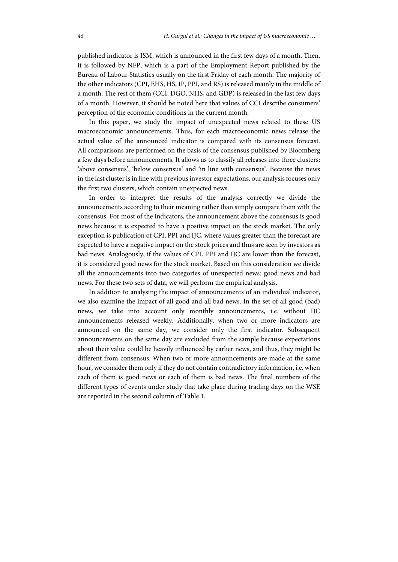published indicator is ISM, which is announced in the first few days of a month. Then, it is followed by NFP, which is a part of the Employment Report published by the Bureau of Labour Statistics usually on the first Friday of each month. The majority of the other indicators (CPI, EHS, HS, IP, PPI, and RS) is released mainly in the middle of a month. The rest of them (CCI, DGO, NHS, and GDP) is released in the last few days of a month. However, it should be noted here that values of CCI describe consumers' perception of the economic conditions in the current month.

In this paper, we study the impact of unexpected news related to these US macroeconomic announcements. Thus, for each macroeconomic news release the actual value of the announced indicator is compared with its consensus forecast. All comparisons are performed on the basis of the consensus published by Bloomberg a few days before announcements. It allows us to classify all releases into three clusters: 'above consensus', 'below consensus' and 'in line with consensus'. Because the news in the last cluster is in line with previous investor expectations, our analysis focuses only the first two clusters, which contain unexpected news.

In order to interpret the results of the analysis correctly we divide the announcements according to their meaning rather than simply compare them with the consensus. For most of the indicators, the announcement above the consensus is good news because it is expected to have a positive impact on the stock market. The only exception is publication of CPI, PPI and IJC, where values greater than the forecast are expected to have a negative impact on the stock prices and thus are seen by investors as bad news. Analogously, if the values of CPI, PPI and IJC are lower than the forecast, it is considered good news for the stock market. Based on this consideration we divide all the announcements into two categories of unexpected news: good news and bad news. For these two sets of data, we will perform the empirical analysis.

In addition to analysing the impact of announcements of an individual indicator, we also examine the impact of all good and all bad news. In the set of all good (bad) news, we take into account only monthly announcements, i.e. without IJC announcements released weekly. Additionally, when two or more indicators are announced on the same day, we consider only the first indicator. Subsequent announcements on the same day are excluded from the sample because expectations about their value could be heavily influenced by earlier news, and thus, they might be different from consensus. When two or more announcements are made at the same hour, we consider them only if they do not contain contradictory information, i.e. when each of them is good news or each of them is bad news. The final numbers of the different types of events under study that take place during trading days on the WSE are reported in the second column of Table 1.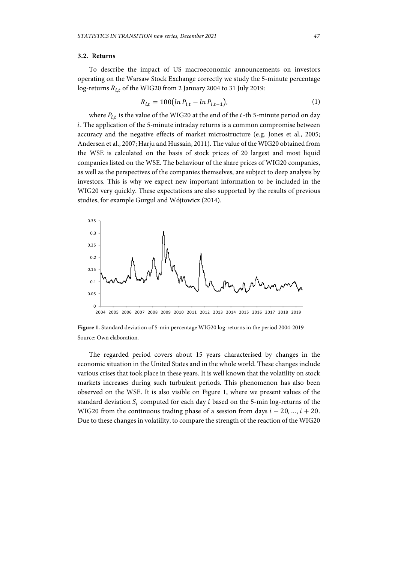### **3.2. Returns**

To describe the impact of US macroeconomic announcements on investors operating on the Warsaw Stock Exchange correctly we study the 5-minute percentage log-returns  $R_{i,t}$  of the WIG20 from 2 January 2004 to 31 July 2019:

$$
R_{i,t} = 100 \left( \ln P_{i,t} - \ln P_{i,t-1} \right),\tag{1}
$$

where  $P_{i,t}$  is the value of the WIG20 at the end of the t-th 5-minute period on day  $i$ . The application of the 5-minute intraday returns is a common compromise between accuracy and the negative effects of market microstructure (e.g. Jones et al., 2005; Andersen et al., 2007; Harju and Hussain, 2011). The value of the WIG20 obtained from the WSE is calculated on the basis of stock prices of 20 largest and most liquid companies listed on the WSE. The behaviour of the share prices of WIG20 companies, as well as the perspectives of the companies themselves, are subject to deep analysis by investors. This is why we expect new important information to be included in the WIG20 very quickly. These expectations are also supported by the results of previous studies, for example Gurgul and Wójtowicz (2014).



**Figure 1.** Standard deviation of 5-min percentage WIG20 log-returns in the period 2004-2019 Source: Own elaboration.

The regarded period covers about 15 years characterised by changes in the economic situation in the United States and in the whole world. These changes include various crises that took place in these years. It is well known that the volatility on stock markets increases during such turbulent periods. This phenomenon has also been observed on the WSE. It is also visible on Figure 1, where we present values of the standard deviation  $S_i$  computed for each day  $i$  based on the 5-min log-returns of the WIG20 from the continuous trading phase of a session from days  $i - 20$ , ...,  $i + 20$ . Due to these changes in volatility, to compare the strength of the reaction of the WIG20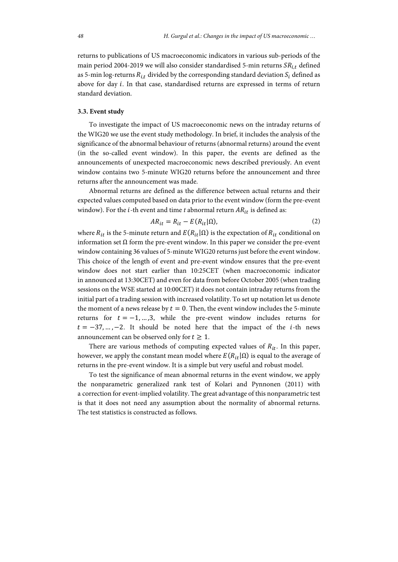returns to publications of US macroeconomic indicators in various sub-periods of the main period 2004-2019 we will also consider standardised 5-min returns  $SR_{i,t}$  defined as 5-min log-returns  $R_{i,t}$  divided by the corresponding standard deviation  $S_i$  defined as above for day i. In that case, standardised returns are expressed in terms of return standard deviation.

#### **3.3. Event study**

To investigate the impact of US macroeconomic news on the intraday returns of the WIG20 we use the event study methodology. In brief, it includes the analysis of the significance of the abnormal behaviour of returns (abnormal returns) around the event (in the so-called event window). In this paper, the events are defined as the announcements of unexpected macroeconomic news described previously. An event window contains two 5-minute WIG20 returns before the announcement and three returns after the announcement was made.

Abnormal returns are defined as the difference between actual returns and their expected values computed based on data prior to the event window (form the pre-event window). For the  $i$ -th event and time  $t$  abnormal return  $AR_{it}$  is defined as:

$$
AR_{it} = R_{it} - E(R_{it}|\Omega), \qquad (2)
$$

where  $R_{it}$  is the 5-minute return and  $E(R_{it}|\Omega)$  is the expectation of  $R_{it}$  conditional on information set Ω form the pre-event window. In this paper we consider the pre-event window containing 36 values of 5-minute WIG20 returns just before the event window. This choice of the length of event and pre-event window ensures that the pre-event window does not start earlier than 10:25CET (when macroeconomic indicator in announced at 13:30CET) and even for data from before October 2005 (when trading sessions on the WSE started at 10:00CET) it does not contain intraday returns from the initial part of a trading session with increased volatility. To set up notation let us denote the moment of a news release by  $t = 0$ . Then, the event window includes the 5-minute returns for  $t = -1, ..., 3$ , while the pre-event window includes returns for  $t = -37, ..., -2$ . It should be noted here that the impact of the *i*-th news announcement can be observed only for  $t \geq 1$ .

There are various methods of computing expected values of  $R_{it}$ . In this paper, however, we apply the constant mean model where  $E(R_{it}|\Omega)$  is equal to the average of returns in the pre-event window. It is a simple but very useful and robust model.

To test the significance of mean abnormal returns in the event window, we apply the nonparametric generalized rank test of Kolari and Pynnonen (2011) with a correction for event-implied volatility. The great advantage of this nonparametric test is that it does not need any assumption about the normality of abnormal returns. The test statistics is constructed as follows.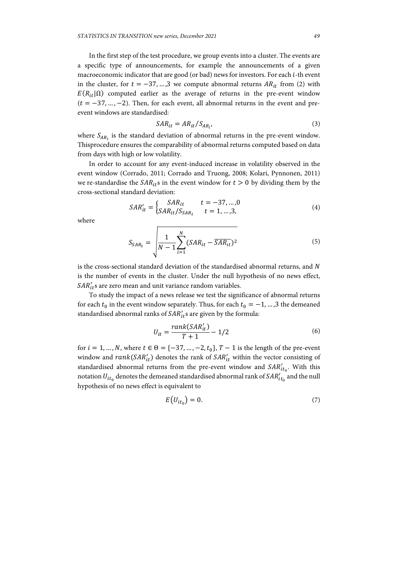In the first step of the test procedure, we group events into a cluster. The events are a specific type of announcements, for example the announcements of a given macroeconomic indicator that are good (or bad) news for investors. For each *i*-th event in the cluster, for  $t = -37, \dots, 3$  we compute abnormal returns  $AR_{it}$  from (2) with  $E(R_{it}|\Omega)$  computed earlier as the average of returns in the pre-event window  $(t = -37, \ldots, -2)$ . Then, for each event, all abnormal returns in the event and preevent windows are standardised:

$$
SAR_{it} = AR_{it}/S_{AR_{i'}}
$$
\n<sup>(3)</sup>

where  $S_{AR_i}$  is the standard deviation of abnormal returns in the pre-event window. Thisprocedure ensures the comparability of abnormal returns computed based on data from days with high or low volatility.

In order to account for any event-induced increase in volatility observed in the event window (Corrado, 2011; Corrado and Truong, 2008; Kolari, Pynnonen, 2011) we re-standardise the  $SAR_{it}$  in the event window for  $t > 0$  by dividing them by the cross-sectional standard deviation:

$$
SAR'_{it} = \begin{cases} SAR_{it} & t = -37, ..., 0\\ SAR_{it}/S_{SAR_{t}} & t = 1, ..., 3, \end{cases}
$$
(4)

where

$$
S_{SAR_t} = \sqrt{\frac{1}{N-1} \sum_{i=1}^{N} (SAR_{it} - \overline{SAR_{it}})^2}
$$
(5)

is the cross-sectional standard deviation of the standardised abnormal returns, and N is the number of events in the cluster. Under the null hypothesis of no news effect,  $\mathit{SAR}'_{it}$ s are zero mean and unit variance random variables.

To study the impact of a news release we test the significance of abnormal returns for each  $t_0$  in the event window separately. Thus, for each  $t_0 = -1, ..., 3$  the demeaned standardised abnormal ranks of  $\mathit{SAR}'_{it}$ s are given by the formula:

$$
U_{it} = \frac{rank(SAR'_{it})}{T+1} - 1/2
$$
\n<sup>(6)</sup>

for  $i = 1, ..., N$ , where  $t \in \Theta = \{-37, ..., -2, t_0\}$ ,  $T - 1$  is the length of the pre-event window and  $rank(SAR'_{it})$  denotes the rank of  $SAR'_{it}$  within the vector consisting of standardised abnormal returns from the pre-event window and  $\mathcal{S}AR'_{it_0}$ . With this notation  $U_{it_0}$  denotes the demeaned standardised abnormal rank of  $\mathit{SAR}'_{it_0}$  and the null hypothesis of no news effect is equivalent to

$$
E(U_{it_0}) = 0.\t\t(7)
$$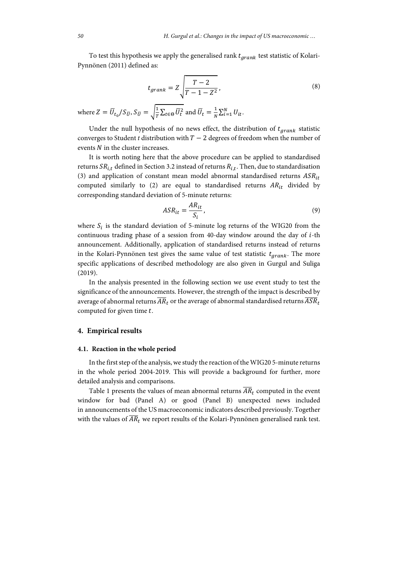To test this hypothesis we apply the generalised rank  $t_{arank}$  test statistic of Kolari-Pynnönen (2011) defined as:

$$
t_{grank} = Z \sqrt{\frac{T - 2}{T - 1 - Z^2}},
$$
\n(8)

where 
$$
Z = \overline{U}_{t_0} / S_{\overline{U}}, S_{\overline{U}} = \sqrt{\frac{1}{T} \sum_{t \in \Theta} \overline{U}_t^2}
$$
 and  $\overline{U}_t = \frac{1}{N} \sum_{i=1}^N U_{it}$ .

Under the null hypothesis of no news effect, the distribution of  $t_{grank}$  statistic converges to Student *t* distribution with  $T-2$  degrees of freedom when the number of events  $N$  in the cluster increases.

It is worth noting here that the above procedure can be applied to standardised returns  $SR_{i,t}$  defined in Section 3.2 instead of returns  $R_{i,t}$ . Then, due to standardisation (3) and application of constant mean model abnormal standardised returns  $ASR_{it}$ computed similarly to (2) are equal to standardised returns  $AR_{it}$  divided by corresponding standard deviation of 5-minute returns:

$$
ASR_{it} = \frac{AR_{it}}{S_i},\tag{9}
$$

where  $S_i$  is the standard deviation of 5-minute log returns of the WIG20 from the continuous trading phase of a session from 40-day window around the day of  $i$ -th announcement. Additionally, application of standardised returns instead of returns in the Kolari-Pynnönen test gives the same value of test statistic  $t_{arank}$ . The more specific applications of described methodology are also given in Gurgul and Suliga (2019).

In the analysis presented in the following section we use event study to test the significance of the announcements. However, the strength of the impact is described by average of abnormal returns  $\overline{AR}_t$  or the average of abnormal standardised returns  $\overline{ASR}_t$ computed for given time  $t$ .

### **4. Empirical results**

#### **4.1. Reaction in the whole period**

In the first step of the analysis, we study the reaction of the WIG20 5-minute returns in the whole period 2004-2019. This will provide a background for further, more detailed analysis and comparisons.

Table 1 presents the values of mean abnormal returns  $\overline{AR}_t$  computed in the event window for bad (Panel A) or good (Panel B) unexpected news included in announcements of the US macroeconomic indicators described previously. Together with the values of  $\overline{AR}_t$  we report results of the Kolari-Pynnönen generalised rank test.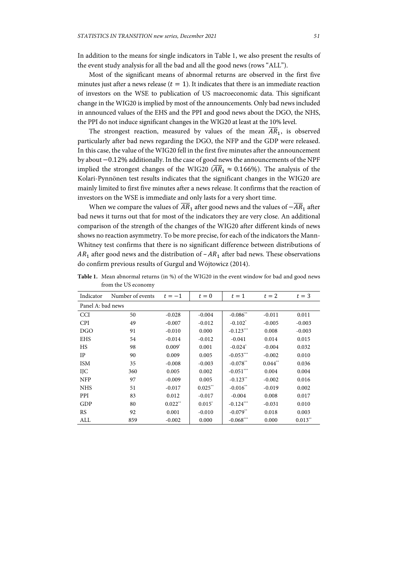In addition to the means for single indicators in Table 1, we also present the results of the event study analysis for all the bad and all the good news (rows "ALL").

Most of the significant means of abnormal returns are observed in the first five minutes just after a news release ( $t=1$ ). It indicates that there is an immediate reaction of investors on the WSE to publication of US macroeconomic data. This significant change in the WIG20 is implied by most of the announcements. Only bad news included in announced values of the EHS and the PPI and good news about the DGO, the NHS, the PPI do not induce significant changes in the WIG20 at least at the 10% level.

The strongest reaction, measured by values of the mean  $\overline{AR}_1$ , is observed particularly after bad news regarding the DGO, the NFP and the GDP were released. In this case, the value of the WIG20 fell in the first five minutes after the announcement by about  $-0.12\%$  additionally. In the case of good news the announcements of the NPF implied the strongest changes of the WIG20 ( $\overline{AR}_1 \approx 0.166\%$ ). The analysis of the Kolari-Pynnönen test results indicates that the significant changes in the WIG20 are mainly limited to first five minutes after a news release. It confirms that the reaction of investors on the WSE is immediate and only lasts for a very short time.

When we compare the values of  $\overline{AR}_1$  after good news and the values of  $-\overline{AR}_1$  after bad news it turns out that for most of the indicators they are very close. An additional comparison of the strength of the changes of the WIG20 after different kinds of news shows no reaction asymmetry. To be more precise, for each of the indicators the Mann-Whitney test confirms that there is no significant difference between distributions of  $AR<sub>1</sub>$  after good news and the distribution of –  $AR<sub>1</sub>$  after bad news. These observations do confirm previous results of Gurgul and Wójtowicz (2014).

| Indicator         | Number of events | $t=-1$    | $t=0$     | $t=1$                  | $t=2$                 | $t=3$     |  |
|-------------------|------------------|-----------|-----------|------------------------|-----------------------|-----------|--|
| Panel A: bad news |                  |           |           |                        |                       |           |  |
| <b>CCI</b>        | 50               | $-0.028$  | $-0.004$  | $-0.086**$             | $-0.011$              | 0.011     |  |
| <b>CPI</b>        | 49               | $-0.007$  | $-0.012$  | $-0.102^*$             | $-0.005$              | $-0.003$  |  |
| <b>DGO</b>        | 91               | $-0.010$  | 0.000     | $-0.123***$            | 0.008                 | $-0.003$  |  |
| <b>EHS</b>        | 54               | $-0.014$  | $-0.012$  | $-0.041$               | 0.014                 | 0.015     |  |
| <b>HS</b>         | 98               | $0.009^*$ | 0.001     | $-0.024$ <sup>*</sup>  | $-0.004$              | 0.032     |  |
| IP                | 90               | 0.009     | 0.005     | $-0.053***$            | $-0.002$              | 0.010     |  |
| <b>ISM</b>        | 35               | $-0.008$  | $-0.003$  | $-0.078**$             | $0.044$ <sup>**</sup> | 0.036     |  |
| <b>IJC</b>        | 360              | 0.005     | 0.002     | $-0.051***$            | 0.004                 | 0.004     |  |
| <b>NFP</b>        | 97               | $-0.009$  | 0.005     | $-0.123$ <sup>**</sup> | $-0.002$              | 0.016     |  |
| <b>NHS</b>        | 51               | $-0.017$  | $0.025**$ | $-0.016**$             | $-0.019$              | 0.002     |  |
| PPI               | 83               | 0.012     | $-0.017$  | $-0.004$               | 0.008                 | 0.017     |  |
| GDP               | 80               | $0.022**$ | $0.015^*$ | $-0.124***$            | $-0.031$              | 0.010     |  |
| <b>RS</b>         | 92               | 0.001     | $-0.010$  | $-0.079**$             | 0.018                 | 0.003     |  |
| ALL               | 859              | $-0.002$  | 0.000     | $-0.068***$            | 0.000                 | $0.013**$ |  |

**Table 1.** Mean abnormal returns (in %) of the WIG20 in the event window for bad and good news from the US economy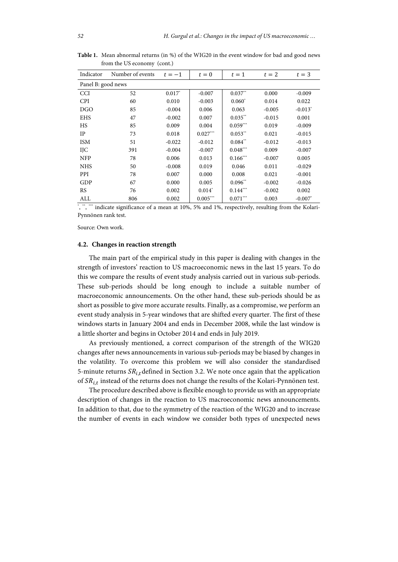| Indicator          | Number of events | $t=-1$   | $t=0$      | $t=1$      | $t=2$    | $t=3$                 |  |  |
|--------------------|------------------|----------|------------|------------|----------|-----------------------|--|--|
| Panel B: good news |                  |          |            |            |          |                       |  |  |
| <b>CCI</b>         | 52               | $0.017*$ | $-0.007$   | $0.037**$  | 0.000    | $-0.009$              |  |  |
| <b>CPI</b>         | 60               | 0.010    | $-0.003$   | $0.060*$   | 0.014    | 0.022                 |  |  |
| <b>DGO</b>         | 85               | $-0.004$ | 0.006      | 0.063      | $-0.005$ | $-0.013$ <sup>*</sup> |  |  |
| <b>EHS</b>         | 47               | $-0.002$ | 0.007      | $0.035**$  | $-0.015$ | 0.001                 |  |  |
| <b>HS</b>          | 85               | 0.009    | 0.004      | $0.059***$ | 0.019    | $-0.009$              |  |  |
| IP                 | 73               | 0.018    | $0.027***$ | $0.053**$  | 0.021    | $-0.015$              |  |  |
| <b>ISM</b>         | 51               | $-0.022$ | $-0.012$   | $0.084**$  | $-0.012$ | $-0.013$              |  |  |
| IJC                | 391              | $-0.004$ | $-0.007$   | $0.048***$ | 0.009    | $-0.007$              |  |  |
| <b>NFP</b>         | 78               | 0.006    | 0.013      | $0.166***$ | $-0.007$ | 0.005                 |  |  |
| <b>NHS</b>         | 50               | $-0.008$ | 0.019      | 0.046      | 0.011    | $-0.029$              |  |  |
| PPI                | 78               | 0.007    | 0.000      | 0.008      | 0.021    | $-0.001$              |  |  |
| GDP                | 67               | 0.000    | 0.005      | $0.096**$  | $-0.002$ | $-0.026$              |  |  |
| <b>RS</b>          | 76               | 0.002    | $0.014^*$  | $0.144***$ | $-0.002$ | 0.002                 |  |  |
| ALL                | 806              | 0.002    | $0.005***$ | $0.071***$ | 0.003    | $-0.007$ <sup>*</sup> |  |  |

**Table 1.** Mean abnormal returns (in %) of the WIG20 in the event window for bad and good news from the US economy (cont.)

\*, \*" indicate significance of a mean at 10%, 5% and 1%, respectively, resulting from the Kolari-Pynnönen rank test.

Source: Own work.

#### **4.2. Changes in reaction strength**

The main part of the empirical study in this paper is dealing with changes in the strength of investors' reaction to US macroeconomic news in the last 15 years. To do this we compare the results of event study analysis carried out in various sub-periods. These sub-periods should be long enough to include a suitable number of macroeconomic announcements. On the other hand, these sub-periods should be as short as possible to give more accurate results. Finally, as a compromise, we perform an event study analysis in 5-year windows that are shifted every quarter. The first of these windows starts in January 2004 and ends in December 2008, while the last window is a little shorter and begins in October 2014 and ends in July 2019.

As previously mentioned, a correct comparison of the strength of the WIG20 changes after news announcements in various sub-periods may be biased by changes in the volatility. To overcome this problem we will also consider the standardised 5-minute returns  $SR_{i,t}$  defined in Section 3.2. We note once again that the application of  $SR_{it}$  instead of the returns does not change the results of the Kolari-Pynnönen test.

The procedure described above is flexible enough to provide us with an appropriate description of changes in the reaction to US macroeconomic news announcements. In addition to that, due to the symmetry of the reaction of the WIG20 and to increase the number of events in each window we consider both types of unexpected news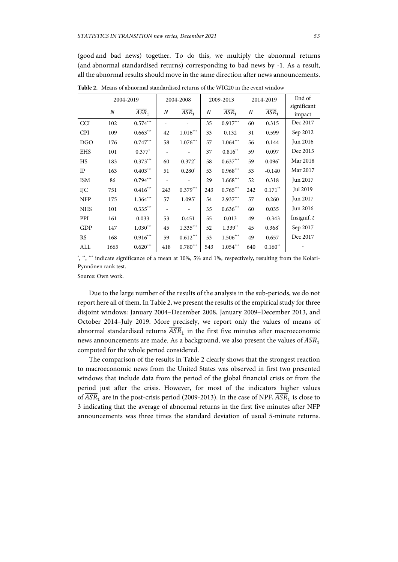(good and bad news) together. To do this, we multiply the abnormal returns (and abnormal standardised returns) corresponding to bad news by -1. As a result, all the abnormal results should move in the same direction after news announcements.

|            | 2004-2019        |                        | 2004-2008 |                              | 2009-2013 |                    | 2014-2019 |                    | End of        |
|------------|------------------|------------------------|-----------|------------------------------|-----------|--------------------|-----------|--------------------|---------------|
|            |                  |                        |           |                              |           |                    |           |                    | significant   |
|            | $\boldsymbol{N}$ | $\overline{ASR}_1$     | N         | $\overline{ASR}_1$           | N         | $\overline{ASR}_1$ | N         | $\overline{ASR}_1$ | impact        |
| <b>CCI</b> | 102              | $0.574***$             |           |                              | 35        | $0.917***$         | 60        | 0.315              | Dec 2017      |
| <b>CPI</b> | 109              | $0.663***$             | 42        | $1.016***$                   | 33        | 0.132              | 31        | 0.599              | Sep 2012      |
| <b>DGO</b> | 176              | $0.747***$             | 58        | $1.076***$                   | 57        | $1.064***$         | 56        | 0.144              | Jun 2016      |
| <b>EHS</b> | 101              | $0.377*$               |           | $\qquad \qquad \blacksquare$ | 37        | $0.816**$          | 59        | 0.097              | Dec 2015      |
| HS         | 183              | $0.373***$             | 60        | $0.372*$                     | 58        | $0.637***$         | 59        | $0.096*$           | Mar 2018      |
| IP         | 163              | $0.403***$             | 51        | $0.280^*$                    | 53        | $0.968***$         | 53        | $-0.140$           | Mar 2017      |
| <b>ISM</b> | 86               | $0.794***$             |           |                              | 29        | $1.668***$         | 52        | 0.318              | Jun 2017      |
| IJС        | 751              | $0.416^{\ast\ast\ast}$ | 243       | $0.379***$                   | 243       | $0.765***$         | 242       | $0.171$ **         | Jul 2019      |
| <b>NFP</b> | 175              | $1.364***$             | 57        | 1.095*                       | 54        | $2.937***$         | 57        | 0.260              | Jun 2017      |
| <b>NHS</b> | 101              | $0.335***$             |           |                              | 35        | $0.636***$         | 60        | 0.035              | Jun 2016      |
| PPI        | 161              | 0.033                  | 53        | 0.451                        | 55        | 0.013              | 49        | $-0.343$           | Insignif. $t$ |
| GDP        | 147              | $1.030***$             | 45        | $1.335***$                   | 52        | $1.339**$          | 45        | $0.368^*$          | Sep 2017      |
| <b>RS</b>  | 168              | $0.916***$             | 59        | $0.612***$                   | 53        | $1.506***$         | 49        | 0.657              | Dec 2017      |
| ALL        | 1665             | $0.620***$             | 418       | $0.780***$                   | 543       | $1.054***$         | 640       | $0.160**$          |               |

**Table 2.** Means of abnormal standardised returns of the WIG20 in the event window

\*, \*\*, \*\*\*\* indicate significance of a mean at 10%, 5% and 1%, respectively, resulting from the Kolari-Pynnönen rank test.

Source: Own work.

Due to the large number of the results of the analysis in the sub-periods, we do not report here all of them. In Table 2, we present the results of the empirical study for three disjoint windows: January 2004–December 2008, January 2009–December 2013, and October 2014–July 2019. More precisely, we report only the values of means of abnormal standardised returns  $\overline{ASR}_1$  in the first five minutes after macroeconomic news announcements are made. As a background, we also present the values of  $\overline{ASR}_1$ computed for the whole period considered.

The comparison of the results in Table 2 clearly shows that the strongest reaction to macroeconomic news from the United States was observed in first two presented windows that include data from the period of the global financial crisis or from the period just after the crisis. However, for most of the indicators higher values of  $\overline{ASR}_1$  are in the post-crisis period (2009-2013). In the case of NPF,  $\overline{ASR}_1$  is close to 3 indicating that the average of abnormal returns in the first five minutes after NFP announcements was three times the standard deviation of usual 5-minute returns.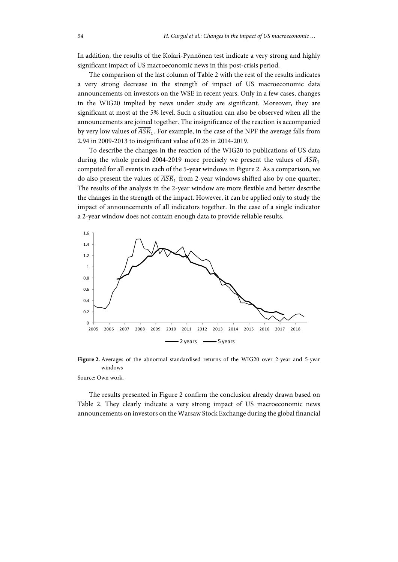In addition, the results of the Kolari-Pynnönen test indicate a very strong and highly significant impact of US macroeconomic news in this post-crisis period.

The comparison of the last column of Table 2 with the rest of the results indicates a very strong decrease in the strength of impact of US macroeconomic data announcements on investors on the WSE in recent years. Only in a few cases, changes in the WIG20 implied by news under study are significant. Moreover, they are significant at most at the 5% level. Such a situation can also be observed when all the announcements are joined together. The insignificance of the reaction is accompanied by very low values of  $\overline{ASR}_1.$  For example, in the case of the NPF the average falls from 2.94 in 2009-2013 to insignificant value of 0.26 in 2014-2019.

To describe the changes in the reaction of the WIG20 to publications of US data during the whole period 2004-2019 more precisely we present the values of  $\overline{ASR}_1$ computed for all events in each of the 5-year windows in Figure 2. As a comparison, we do also present the values of  $\overline{ASR}_1$  from 2-year windows shifted also by one quarter. The results of the analysis in the 2-year window are more flexible and better describe the changes in the strength of the impact. However, it can be applied only to study the impact of announcements of all indicators together. In the case of a single indicator a 2-year window does not contain enough data to provide reliable results.



**Figure 2.** Averages of the abnormal standardised returns of the WIG20 over 2-year and 5-year windows

Source: Own work.

The results presented in Figure 2 confirm the conclusion already drawn based on Table 2. They clearly indicate a very strong impact of US macroeconomic news announcements on investors on the Warsaw Stock Exchange during the global financial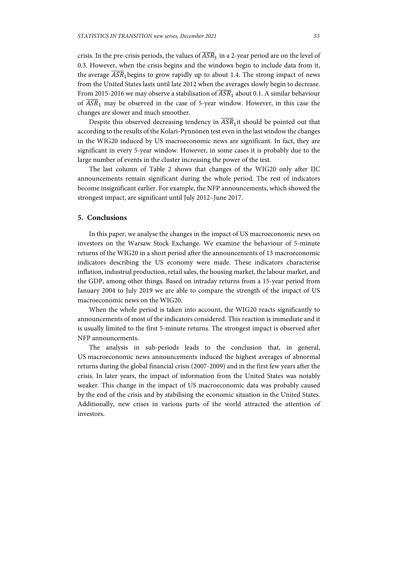crisis. In the pre-crisis periods, the values of  $\overline{ASR}_1$  in a 2-year period are on the level of 0.3. However, when the crisis begins and the windows begin to include data from it, the average  $\overline{ASR}_1$  begins to grow rapidly up to about 1.4. The strong impact of news from the United States lasts until late 2012 when the averages slowly begin to decrease. From 2015-2016 we may observe a stabilisation of  $\overline{ASR}_1$  about 0.1. A similar behaviour of  $\overline{ASR}_1$  may be observed in the case of 5-year window. However, in this case the changes are slower and much smoother.

Despite this observed decreasing tendency in  $\overline{ASR}_1$  it should be pointed out that according to the results of the Kolari-Pynnönen test even in the last window the changes in the WIG20 induced by US macroeconomic news are significant. In fact, they are significant in every 5-year window. However, in some cases it is probably due to the large number of events in the cluster increasing the power of the test.

The last column of Table 2 shows that changes of the WIG20 only after IJC announcements remain significant during the whole period. The rest of indicators become insignificant earlier. For example, the NFP announcements, which showed the strongest impact, are significant until July 2012–June 2017.

### **5. Conclusions**

In this paper, we analyse the changes in the impact of US macroeconomic news on investors on the Warsaw Stock Exchange. We examine the behaviour of 5-minute returns of the WIG20 in a short period after the announcements of 13 macroeconomic indicators describing the US economy were made. These indicators characterise inflation, industrial production, retail sales, the housing market, the labour market, and the GDP, among other things. Based on intraday returns from a 15-year period from January 2004 to July 2019 we are able to compare the strength of the impact of US macroeconomic news on the WIG20.

When the whole period is taken into account, the WIG20 reacts significantly to announcements of most of the indicators considered. This reaction is immediate and it is usually limited to the first 5-minute returns. The strongest impact is observed after NFP announcements.

The analysis in sub-periods leads to the conclusion that, in general, US macroeconomic news announcements induced the highest averages of abnormal returns during the global financial crisis (2007-2009) and in the first few years after the crisis. In later years, the impact of information from the United States was notably weaker. This change in the impact of US macroeconomic data was probably caused by the end of the crisis and by stabilising the economic situation in the United States. Additionally, new crises in various parts of the world attracted the attention of investors.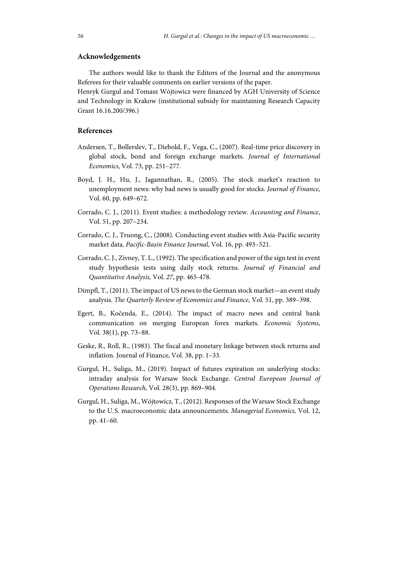# **Acknowledgements**

The authors would like to thank the Editors of the Journal and the anonymous Referees for their valuable comments on earlier versions of the paper.

Henryk Gurgul and Tomasz Wójtowicz were financed by AGH University of Science and Technology in Krakow (institutional subsidy for maintaining Research Capacity Grant 16.16.200/396.)

## **References**

- Andersen, T., Bollerslev, T., Diebold, F., Vega, C., (2007). Real-time price discovery in global stock, bond and foreign exchange markets. *Journal of International Economics*, Vol. 73, pp. 251–277.
- Boyd, J. H., Hu, J., Jagannathan, R., (2005). The stock market's reaction to unemployment news: why bad news is usually good for stocks. *Journal of Finance*, Vol. 60, pp. 649–672.
- Corrado, C. J., (2011). Event studies: a methodology review. *Accounting and Finance*, Vol. 51, pp. 207–234.
- Corrado, C. J., Truong, C., (2008). Conducting event studies with Asia-Pacific security market data. *Pacific-Basin Finance Journal*, Vol. 16, pp. 493–521.
- Corrado, C. J., Zivney, T. L., (1992). The specification and power of the sign test in event study hypothesis tests using daily stock returns. *Journal of Financial and Quantitative Analysis,* Vol. *27*, pp. 465-478.
- Dimpfl, T., (2011). The impact of US news to the German stock market—an event study analysis. *The Quarterly Review of Economics and Finance,* Vol. 51, pp. 389–398.
- Egert, B., Kočenda, E., (2014). The impact of macro news and central bank communication on merging European forex markets. *Economic Systems*, Vol. 38(1), pp. 73–88.
- Geske, R., Roll, R., (1983). The fiscal and monetary linkage between stock returns and inflation. Journal of Finance, Vol. 38, pp. 1–33.
- Gurgul, H., Suliga, M., (2019). Impact of futures expiration on underlying stocks: intraday analysis for Warsaw Stock Exchange. *Central European Journal of Operations Research,* Vol. 28(3), pp. 869–904.
- Gurgul, H., Suliga, M., Wójtowicz, T., (2012). Responses of the Warsaw Stock Exchange to the U.S. macroeconomic data announcements. *Managerial Economics,* Vol. 12, pp. 41–60.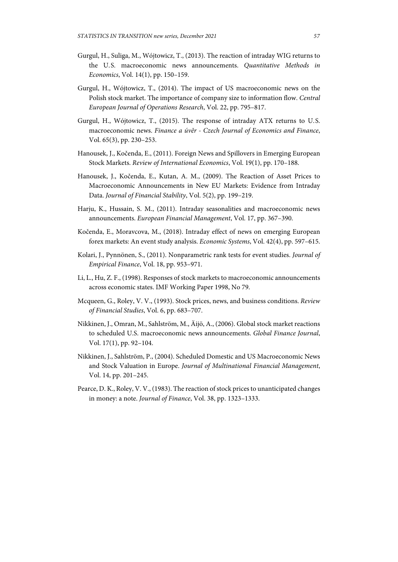- Gurgul, H., Suliga, M., Wójtowicz, T., (2013). The reaction of intraday WIG returns to the U.S. macroeconomic news announcements. *Quantitative Methods in Economics*, Vol. 14(1), pp. 150–159.
- Gurgul, H., Wójtowicz, T., (2014). The impact of US macroeconomic news on the Polish stock market. The importance of company size to information flow. *Central European Journal of Operations Research*, Vol. 22, pp. 795–817.
- Gurgul, H., Wójtowicz, T., (2015). The response of intraday ATX returns to U.S. macroeconomic news. *Finance a úvěr - Czech Journal of Economics and Finance*, Vol. 65(3), pp. 230–253.
- Hanousek, J., Kočenda, E., (2011). Foreign News and Spillovers in Emerging European Stock Markets. *Review of International Economics*, Vol. 19(1), pp. 170–188.
- Hanousek, J., Kočenda, E., Kutan, A. M., (2009). The Reaction of Asset Prices to Macroeconomic Announcements in New EU Markets: Evidence from Intraday Data. *Journal of Financial Stability*, Vol. 5(2), pp. 199–219.
- Harju, K., Hussain, S. M., (2011). Intraday seasonalities and macroeconomic news announcements. *European Financial Management*, Vol. 17, pp. 367–390.
- Kočenda, E., Moravcova, M., (2018). Intraday effect of news on emerging European forex markets: An event study analysis. *Economic Systems*, Vol. 42(4), pp. 597–615.
- Kolari, J., Pynnönen, S., (2011). Nonparametric rank tests for event studies. *Journal of Empirical Finance*, Vol. 18, pp. 953–971.
- Li, L., Hu, Z. F., (1998). Responses of stock markets to macroeconomic announcements across economic states. IMF Working Paper 1998, No 79.
- Mcqueen, G., Roley, V. V., (1993). Stock prices, news, and business conditions. *Review of Financial Studies*, Vol. 6, pp. 683–707.
- Nikkinen, J., Omran, M., Sahlström, M., Äijö, A., (2006). Global stock market reactions to scheduled U.S. macroeconomic news announcements. *Global Finance Journal*, Vol. 17(1), pp. 92–104.
- Nikkinen, J., Sahlström, P., (2004). Scheduled Domestic and US Macroeconomic News and Stock Valuation in Europe. *Journal of Multinational Financial Management*, Vol. 14, pp. 201–245.
- Pearce, D. K., Roley, V. V., (1983). The reaction of stock prices to unanticipated changes in money: a note. *Journal of Finance*, Vol. 38, pp. 1323–1333.